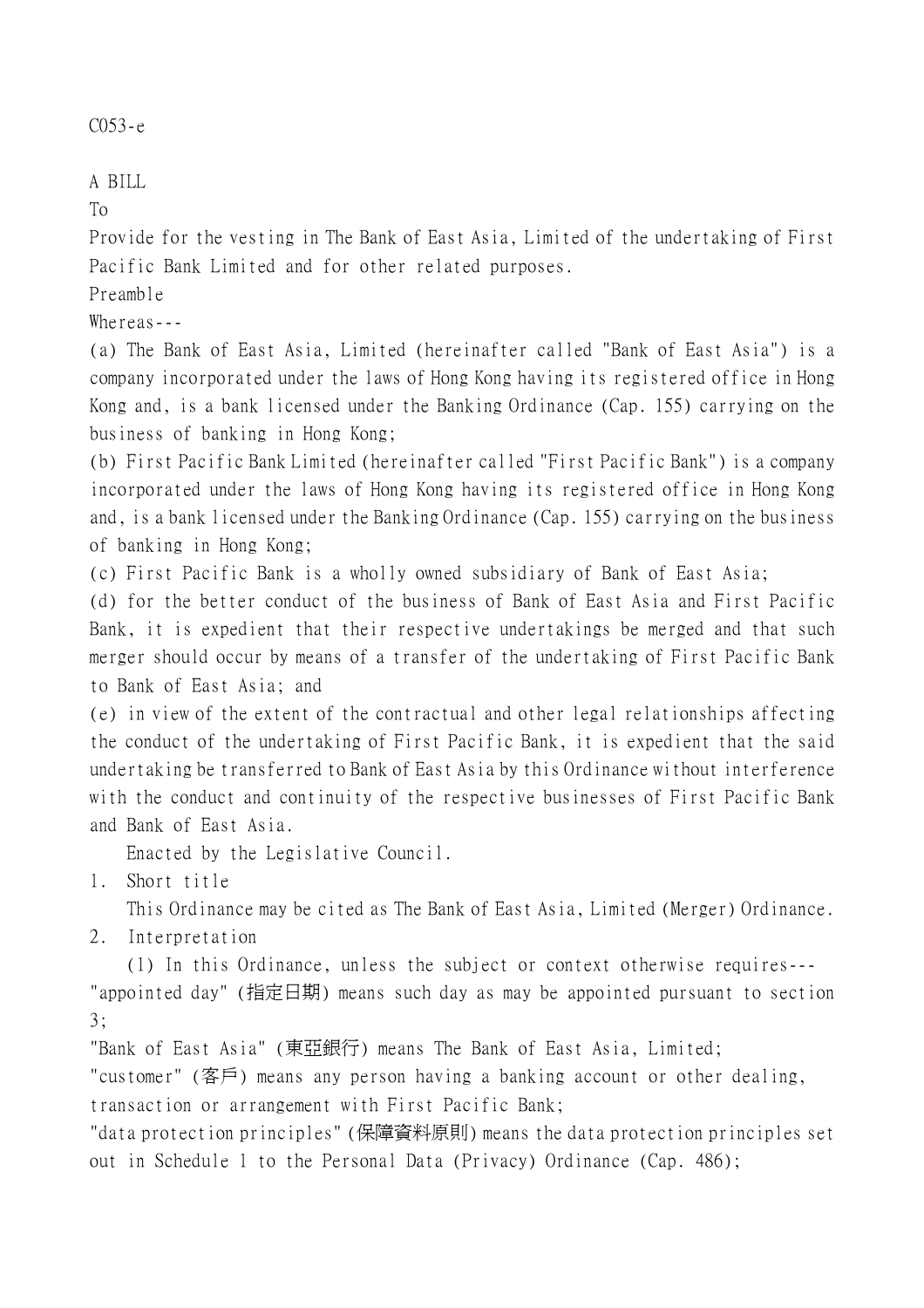C053-e

A BILL

To

Provide for the vesting in The Bank of East Asia, Limited of the undertaking of First Pacific Bank Limited and for other related purposes.

Preamble

Whereas---

(a) The Bank of East Asia, Limited (hereinafter called "Bank of East Asia") is a company incorporated under the laws of Hong Kong having its registered office in Hong Kong and, is a bank licensed under the Banking Ordinance (Cap. 155) carrying on the business of banking in Hong Kong;

(b) First Pacific Bank Limited (hereinafter called "First Pacific Bank") is a company incorporated under the laws of Hong Kong having its registered office in Hong Kong and, is a bank licensed under the Banking Ordinance (Cap. 155) carrying on the business of banking in Hong Kong;

(c) First Pacific Bank is a wholly owned subsidiary of Bank of East Asia;

(d) for the better conduct of the business of Bank of East Asia and First Pacific Bank, it is expedient that their respective undertakings be merged and that such merger should occur by means of a transfer of the undertaking of First Pacific Bank to Bank of East Asia; and

(e) in view of the extent of the contractual and other legal relationships affecting the conduct of the undertaking of First Pacific Bank, it is expedient that the said undertaking be transferred to Bank of East Asia by this Ordinance without interference with the conduct and continuity of the respective businesses of First Pacific Bank and Bank of East Asia.

Enacted by the Legislative Council.

1. Short title

This Ordinance may be cited as The Bank of East Asia, Limited (Merger) Ordinance.

2. Interpretation

(1) In this Ordinance, unless the subject or context otherwise requires--- "appointed day" (指定日期) means such day as may be appointed pursuant to section 3;

"Bank of East Asia" (東亞銀行) means The Bank of East Asia, Limited;

"customer" (客戶) means any person having a banking account or other dealing, transaction or arrangement with First Pacific Bank;

"data protection principles" (保障資料原則) means the data protection principles set out in Schedule 1 to the Personal Data (Privacy) Ordinance (Cap. 486);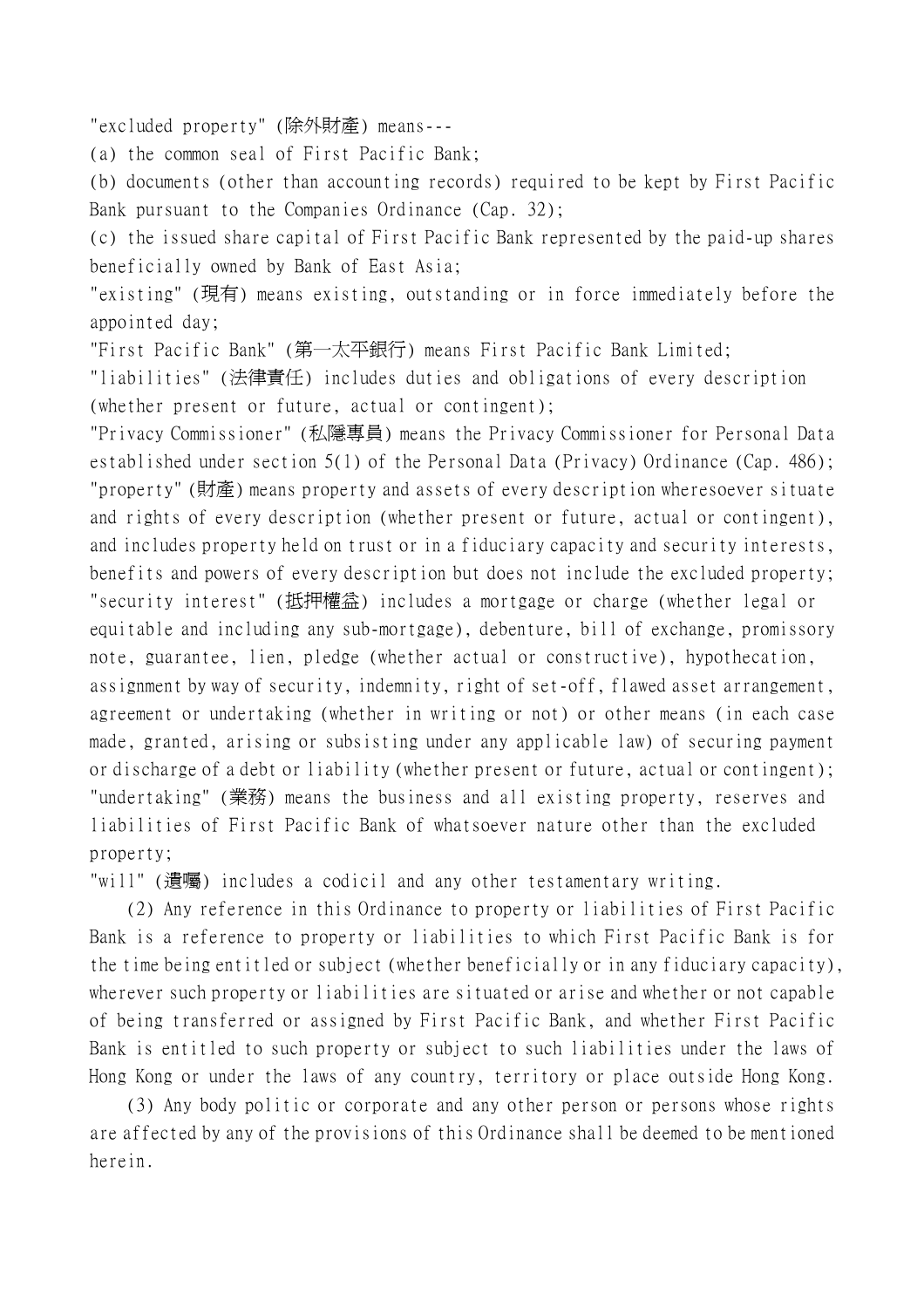"excluded property" (除外財產) means---

(a) the common seal of First Pacific Bank;

(b) documents (other than accounting records) required to be kept by First Pacific Bank pursuant to the Companies Ordinance (Cap. 32);

(c) the issued share capital of First Pacific Bank represented by the paid-up shares beneficially owned by Bank of East Asia;

"existing" (現有) means existing, outstanding or in force immediately before the appointed day;

"First Pacific Bank" (第㆒太平銀行) means First Pacific Bank Limited;

"liabilities" (法律責任) includes duties and obligations of every description (whether present or future, actual or contingent);

"Privacy Commissioner" (私隱專員) means the Privacy Commissioner for Personal Data established under section 5(1) of the Personal Data (Privacy) Ordinance (Cap. 486); "property" (財產) means property and assets of every description wheresoever situate and rights of every description (whether present or future, actual or contingent), and includes property held on trust or in a fiduciary capacity and security interests, benefits and powers of every description but does not include the excluded property; "security interest" (抵押權益) includes a mortgage or charge (whether legal or equitable and including any sub-mortgage), debenture, bill of exchange, promissory note, guarantee, lien, pledge (whether actual or constructive), hypothecation, assignment by way of security, indemnity, right of set-off, flawed asset arrangement, agreement or undertaking (whether in writing or not) or other means (in each case made, granted, arising or subsisting under any applicable law) of securing payment or discharge of a debt or liability (whether present or future, actual or contingent); "undertaking" (業務) means the business and all existing property, reserves and liabilities of First Pacific Bank of whatsoever nature other than the excluded property;

"will" (遺囑) includes a codicil and any other testamentary writing.

(2) Any reference in this Ordinance to property or liabilities of First Pacific Bank is a reference to property or liabilities to which First Pacific Bank is for the time being entitled or subject (whether beneficially or in any fiduciary capacity), wherever such property or liabilities are situated or arise and whether or not capable of being transferred or assigned by First Pacific Bank, and whether First Pacific Bank is entitled to such property or subject to such liabilities under the laws of Hong Kong or under the laws of any country, territory or place outside Hong Kong.

(3) Any body politic or corporate and any other person or persons whose rights are affected by any of the provisions of this Ordinance shall be deemed to be mentioned herein.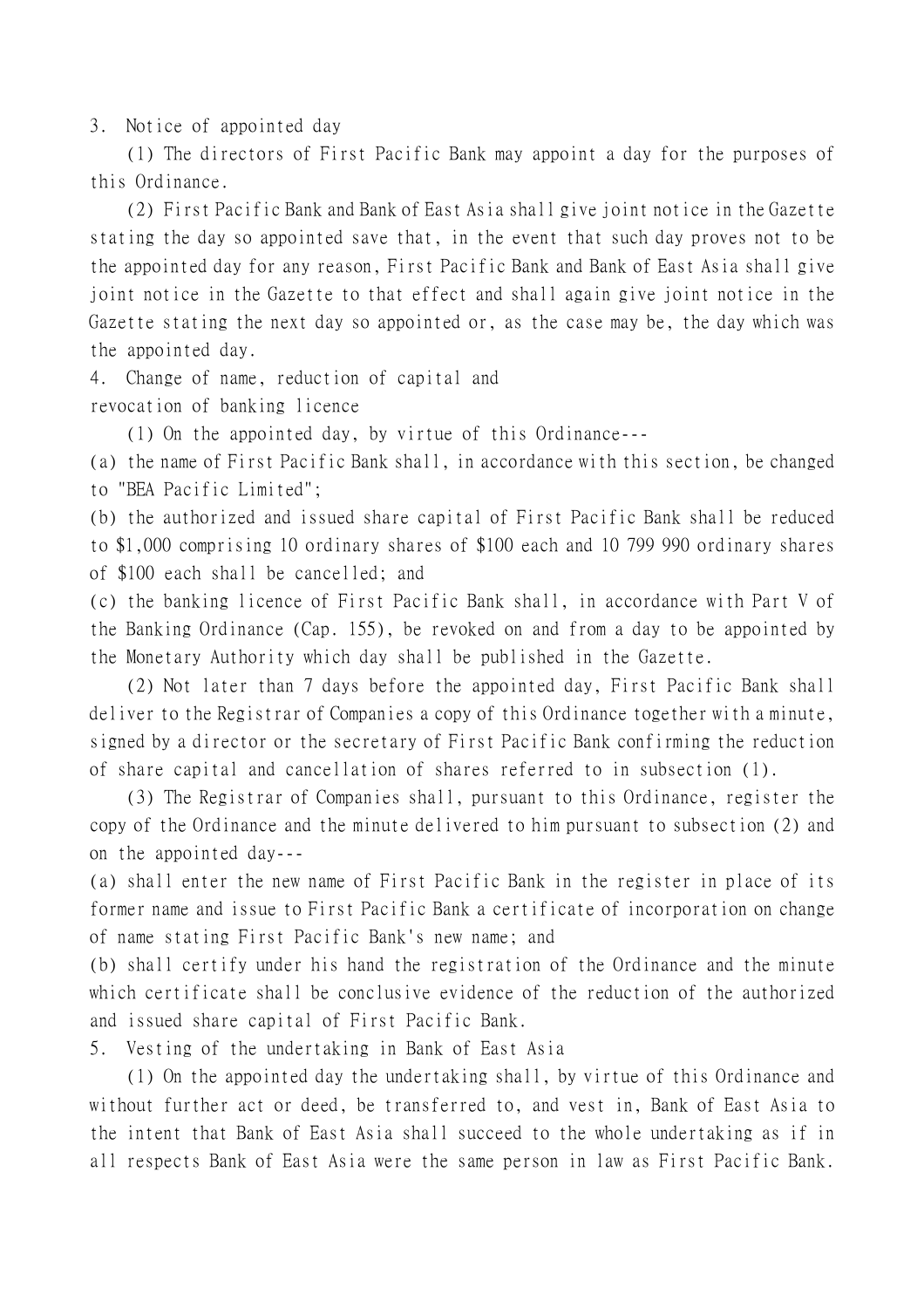3. Notice of appointed day

(1) The directors of First Pacific Bank may appoint a day for the purposes of this Ordinance.

(2) First Pacific Bank and Bank of East Asia shall give joint notice in the Gazette stating the day so appointed save that, in the event that such day proves not to be the appointed day for any reason, First Pacific Bank and Bank of East Asia shall give joint notice in the Gazette to that effect and shall again give joint notice in the Gazette stating the next day so appointed or, as the case may be, the day which was the appointed day.

4. Change of name, reduction of capital and

revocation of banking licence

(1) On the appointed day, by virtue of this Ordinance---

(a) the name of First Pacific Bank shall, in accordance with this section, be changed to "BEA Pacific Limited";

(b) the authorized and issued share capital of First Pacific Bank shall be reduced to \$1,000 comprising 10 ordinary shares of \$100 each and 10 799 990 ordinary shares of \$100 each shall be cancelled; and

(c) the banking licence of First Pacific Bank shall, in accordance with Part V of the Banking Ordinance (Cap. 155), be revoked on and from a day to be appointed by the Monetary Authority which day shall be published in the Gazette.

(2) Not later than 7 days before the appointed day, First Pacific Bank shall deliver to the Registrar of Companies a copy of this Ordinance together with a minute, signed by a director or the secretary of First Pacific Bank confirming the reduction of share capital and cancellation of shares referred to in subsection (1).

(3) The Registrar of Companies shall, pursuant to this Ordinance, register the copy of the Ordinance and the minute delivered to him pursuant to subsection (2) and on the appointed day---

(a) shall enter the new name of First Pacific Bank in the register in place of its former name and issue to First Pacific Bank a certificate of incorporation on change of name stating First Pacific Bank's new name; and

(b) shall certify under his hand the registration of the Ordinance and the minute which certificate shall be conclusive evidence of the reduction of the authorized and issued share capital of First Pacific Bank.

5. Vesting of the undertaking in Bank of East Asia

(1) On the appointed day the undertaking shall, by virtue of this Ordinance and without further act or deed, be transferred to, and vest in, Bank of East Asia to the intent that Bank of East Asia shall succeed to the whole undertaking as if in all respects Bank of East Asia were the same person in law as First Pacific Bank.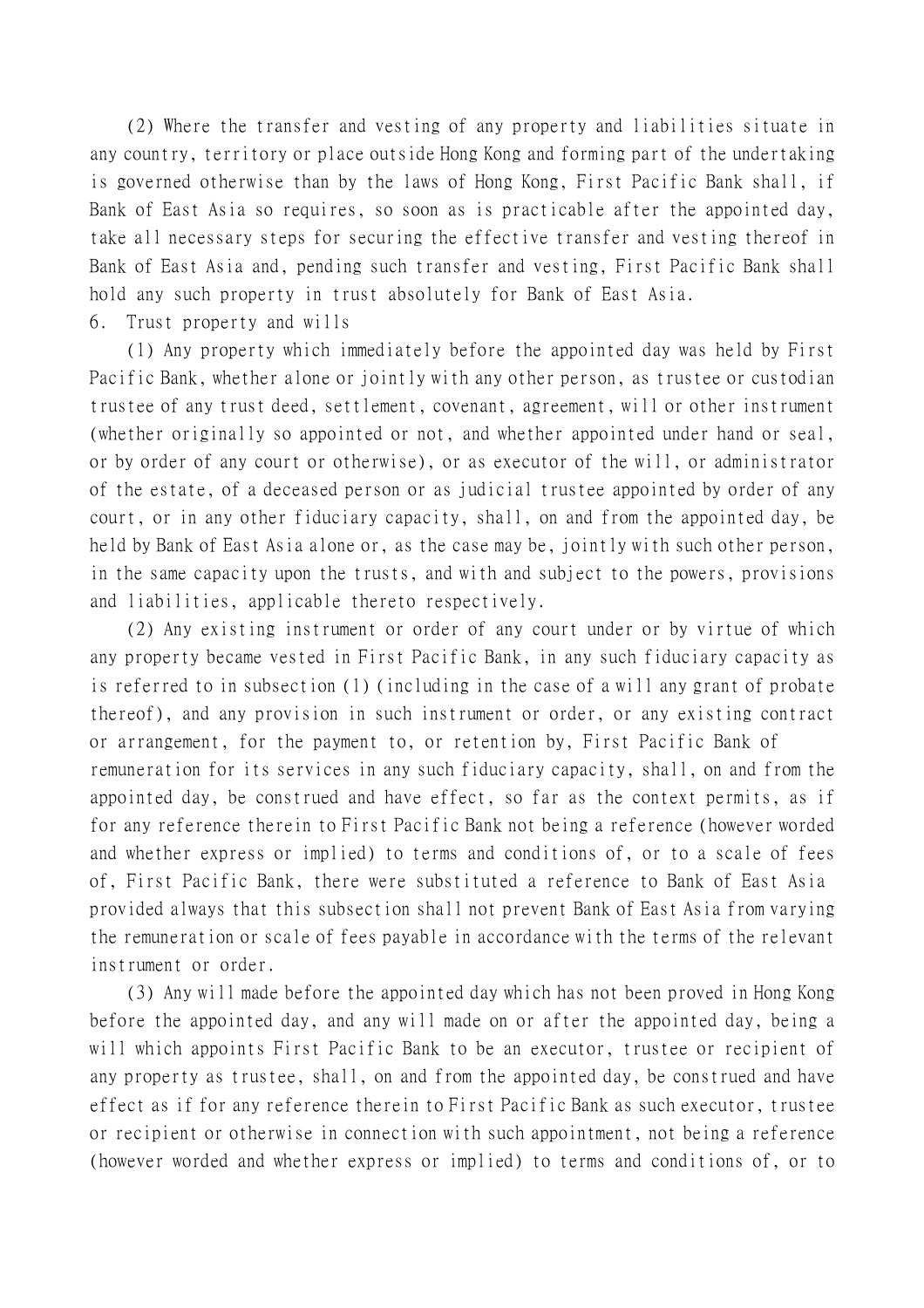(2) Where the transfer and vesting of any property and liabilities situate in any country, territory or place outside Hong Kong and forming part of the undertaking is governed otherwise than by the laws of Hong Kong, First Pacific Bank shall, if Bank of East Asia so requires, so soon as is practicable after the appointed day, take all necessary steps for securing the effective transfer and vesting thereof in Bank of East Asia and, pending such transfer and vesting, First Pacific Bank shall hold any such property in trust absolutely for Bank of East Asia.

6. Trust property and wills

(1) Any property which immediately before the appointed day was held by First Pacific Bank, whether alone or jointly with any other person, as trustee or custodian trustee of any trust deed, settlement, covenant, agreement, will or other instrument (whether originally so appointed or not, and whether appointed under hand or seal, or by order of any court or otherwise), or as executor of the will, or administrator of the estate, of a deceased person or as judicial trustee appointed by order of any court, or in any other fiduciary capacity, shall, on and from the appointed day, be held by Bank of East Asia alone or, as the case may be, jointly with such other person, in the same capacity upon the trusts, and with and subject to the powers, provisions and liabilities, applicable thereto respectively.

(2) Any existing instrument or order of any court under or by virtue of which any property became vested in First Pacific Bank, in any such fiduciary capacity as is referred to in subsection (1) (including in the case of a will any grant of probate thereof), and any provision in such instrument or order, or any existing contract or arrangement, for the payment to, or retention by, First Pacific Bank of remuneration for its services in any such fiduciary capacity, shall, on and from the appointed day, be construed and have effect, so far as the context permits, as if for any reference therein to First Pacific Bank not being a reference (however worded and whether express or implied) to terms and conditions of, or to a scale of fees of, First Pacific Bank, there were substituted a reference to Bank of East Asia provided always that this subsection shall not prevent Bank of East Asia from varying the remuneration or scale of fees payable in accordance with the terms of the relevant instrument or order.

(3) Any will made before the appointed day which has not been proved in Hong Kong before the appointed day, and any will made on or after the appointed day, being a will which appoints First Pacific Bank to be an executor, trustee or recipient of any property as trustee, shall, on and from the appointed day, be construed and have effect as if for any reference therein to First Pacific Bank as such executor, trustee or recipient or otherwise in connection with such appointment, not being a reference (however worded and whether express or implied) to terms and conditions of, or to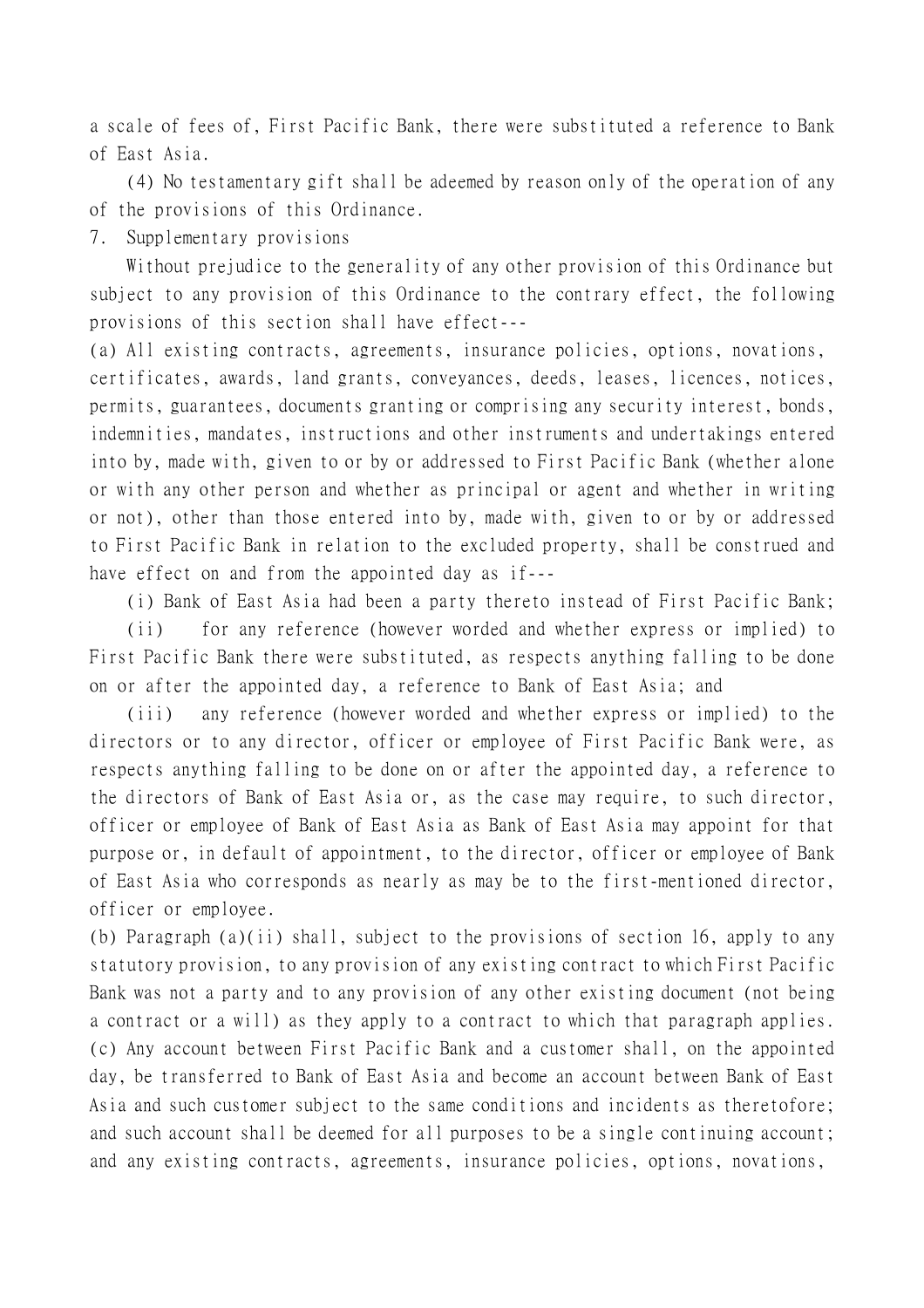a scale of fees of, First Pacific Bank, there were substituted a reference to Bank of East Asia.

(4) No testamentary gift shall be adeemed by reason only of the operation of any of the provisions of this Ordinance.

7. Supplementary provisions

Without prejudice to the generality of any other provision of this Ordinance but subject to any provision of this Ordinance to the contrary effect, the following provisions of this section shall have effect---

(a) All existing contracts, agreements, insurance policies, options, novations, certificates, awards, land grants, conveyances, deeds, leases, licences, notices, permits, guarantees, documents granting or comprising any security interest, bonds, indemnities, mandates, instructions and other instruments and undertakings entered into by, made with, given to or by or addressed to First Pacific Bank (whether alone or with any other person and whether as principal or agent and whether in writing or not), other than those entered into by, made with, given to or by or addressed to First Pacific Bank in relation to the excluded property, shall be construed and have effect on and from the appointed day as if---

(i) Bank of East Asia had been a party thereto instead of First Pacific Bank;

(ii) for any reference (however worded and whether express or implied) to First Pacific Bank there were substituted, as respects anything falling to be done on or after the appointed day, a reference to Bank of East Asia; and

(iii) any reference (however worded and whether express or implied) to the directors or to any director, officer or employee of First Pacific Bank were, as respects anything falling to be done on or after the appointed day, a reference to the directors of Bank of East Asia or, as the case may require, to such director, officer or employee of Bank of East Asia as Bank of East Asia may appoint for that purpose or, in default of appointment, to the director, officer or employee of Bank of East Asia who corresponds as nearly as may be to the first-mentioned director, officer or employee.

(b) Paragraph (a)(ii) shall, subject to the provisions of section 16, apply to any statutory provision, to any provision of any existing contract to which First Pacific Bank was not a party and to any provision of any other existing document (not being a contract or a will) as they apply to a contract to which that paragraph applies. (c) Any account between First Pacific Bank and a customer shall, on the appointed day, be transferred to Bank of East Asia and become an account between Bank of East Asia and such customer subject to the same conditions and incidents as theretofore; and such account shall be deemed for all purposes to be a single continuing account; and any existing contracts, agreements, insurance policies, options, novations,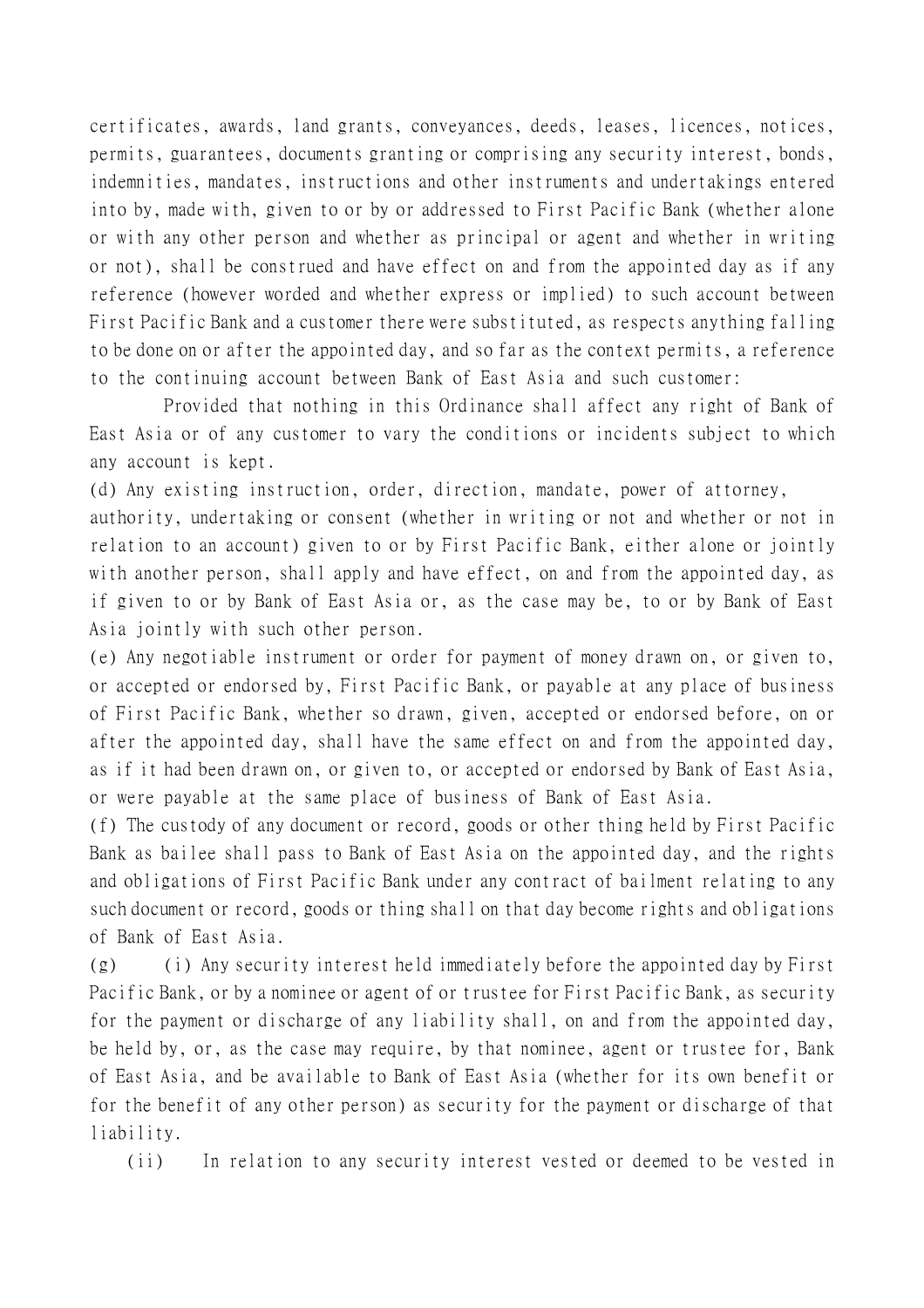certificates, awards, land grants, conveyances, deeds, leases, licences, notices, permits, guarantees, documents granting or comprising any security interest, bonds, indemnities, mandates, instructions and other instruments and undertakings entered into by, made with, given to or by or addressed to First Pacific Bank (whether alone or with any other person and whether as principal or agent and whether in writing or not), shall be construed and have effect on and from the appointed day as if any reference (however worded and whether express or implied) to such account between First Pacific Bank and a customer there were substituted, as respects anything falling to be done on or after the appointed day, and so far as the context permits, a reference to the continuing account between Bank of East Asia and such customer:

Provided that nothing in this Ordinance shall affect any right of Bank of East Asia or of any customer to vary the conditions or incidents subject to which any account is kept.

(d) Any existing instruction, order, direction, mandate, power of attorney,

authority, undertaking or consent (whether in writing or not and whether or not in relation to an account) given to or by First Pacific Bank, either alone or jointly with another person, shall apply and have effect, on and from the appointed day, as if given to or by Bank of East Asia or, as the case may be, to or by Bank of East Asia jointly with such other person.

(e) Any negotiable instrument or order for payment of money drawn on, or given to, or accepted or endorsed by, First Pacific Bank, or payable at any place of business of First Pacific Bank, whether so drawn, given, accepted or endorsed before, on or after the appointed day, shall have the same effect on and from the appointed day, as if it had been drawn on, or given to, or accepted or endorsed by Bank of East Asia, or were payable at the same place of business of Bank of East Asia.

(f) The custody of any document or record, goods or other thing held by First Pacific Bank as bailee shall pass to Bank of East Asia on the appointed day, and the rights and obligations of First Pacific Bank under any contract of bailment relating to any such document or record, goods or thing shall on that day become rights and obligations of Bank of East Asia.

(g) (i) Any security interest held immediately before the appointed day by First Pacific Bank, or by a nominee or agent of or trustee for First Pacific Bank, as security for the payment or discharge of any liability shall, on and from the appointed day, be held by, or, as the case may require, by that nominee, agent or trustee for, Bank of East Asia, and be available to Bank of East Asia (whether for its own benefit or for the benefit of any other person) as security for the payment or discharge of that liability.

(ii) In relation to any security interest vested or deemed to be vested in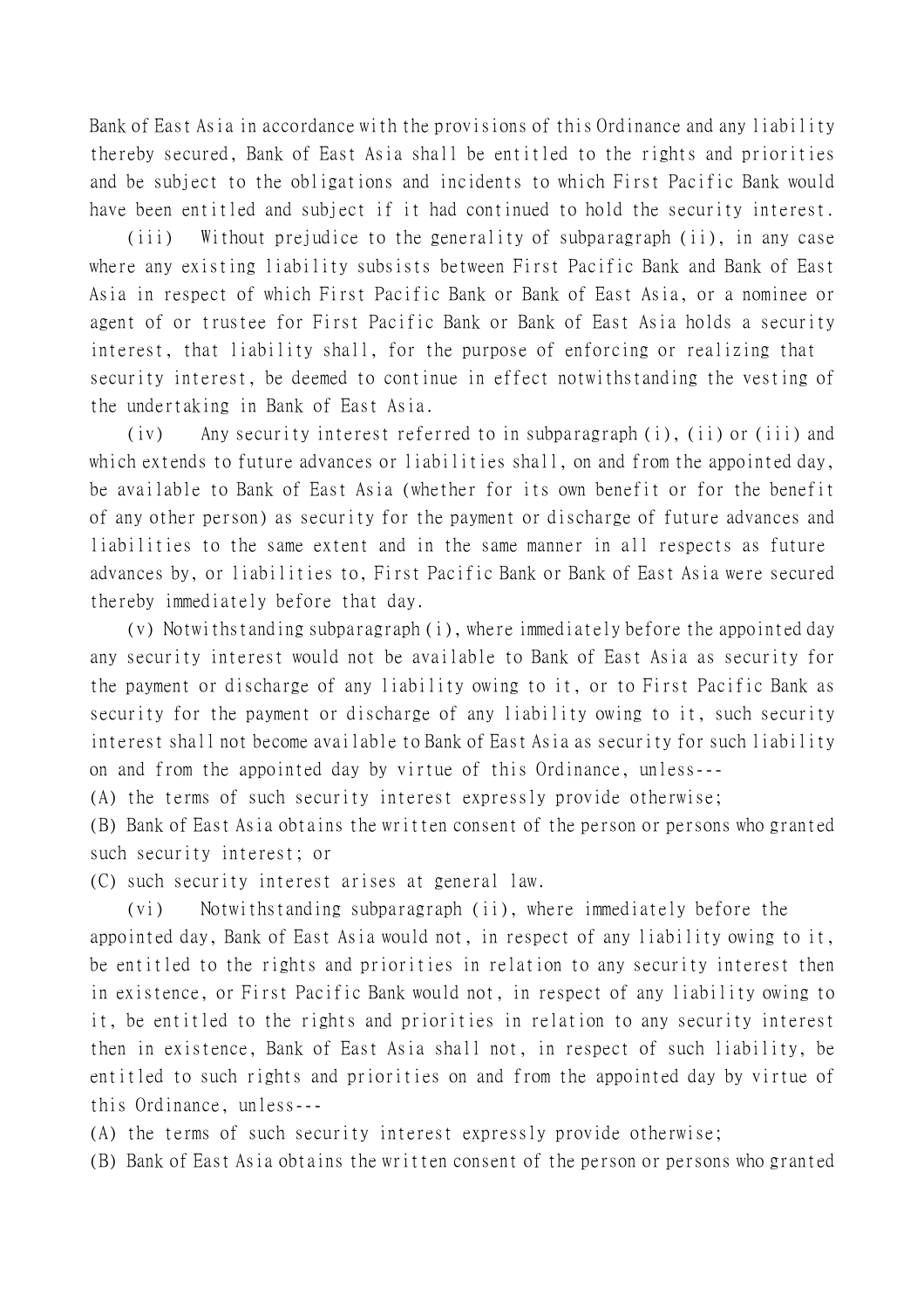Bank of East Asia in accordance with the provisions of this Ordinance and any liability thereby secured, Bank of East Asia shall be entitled to the rights and priorities and be subject to the obligations and incidents to which First Pacific Bank would have been entitled and subject if it had continued to hold the security interest.

(iii) Without prejudice to the generality of subparagraph (ii), in any case where any existing liability subsists between First Pacific Bank and Bank of East Asia in respect of which First Pacific Bank or Bank of East Asia, or a nominee or agent of or trustee for First Pacific Bank or Bank of East Asia holds a security interest, that liability shall, for the purpose of enforcing or realizing that security interest, be deemed to continue in effect notwithstanding the vesting of the undertaking in Bank of East Asia.

(iv) Any security interest referred to in subparagraph (i), (ii) or (iii) and which extends to future advances or liabilities shall, on and from the appointed day, be available to Bank of East Asia (whether for its own benefit or for the benefit of any other person) as security for the payment or discharge of future advances and liabilities to the same extent and in the same manner in all respects as future advances by, or liabilities to, First Pacific Bank or Bank of East Asia were secured thereby immediately before that day.

(v) Notwithstanding subparagraph (i), where immediately before the appointed day any security interest would not be available to Bank of East Asia as security for the payment or discharge of any liability owing to it, or to First Pacific Bank as security for the payment or discharge of any liability owing to it, such security interest shall not become available to Bank of East Asia as security for such liability on and from the appointed day by virtue of this Ordinance, unless---

(A) the terms of such security interest expressly provide otherwise;

(B) Bank of East Asia obtains the written consent of the person or persons who granted such security interest; or

(C) such security interest arises at general law.

(vi) Notwithstanding subparagraph (ii), where immediately before the appointed day, Bank of East Asia would not, in respect of any liability owing to it, be entitled to the rights and priorities in relation to any security interest then in existence, or First Pacific Bank would not, in respect of any liability owing to it, be entitled to the rights and priorities in relation to any security interest then in existence, Bank of East Asia shall not, in respect of such liability, be entitled to such rights and priorities on and from the appointed day by virtue of this Ordinance, unless---

(A) the terms of such security interest expressly provide otherwise;

(B) Bank of East Asia obtains the written consent of the person or persons who granted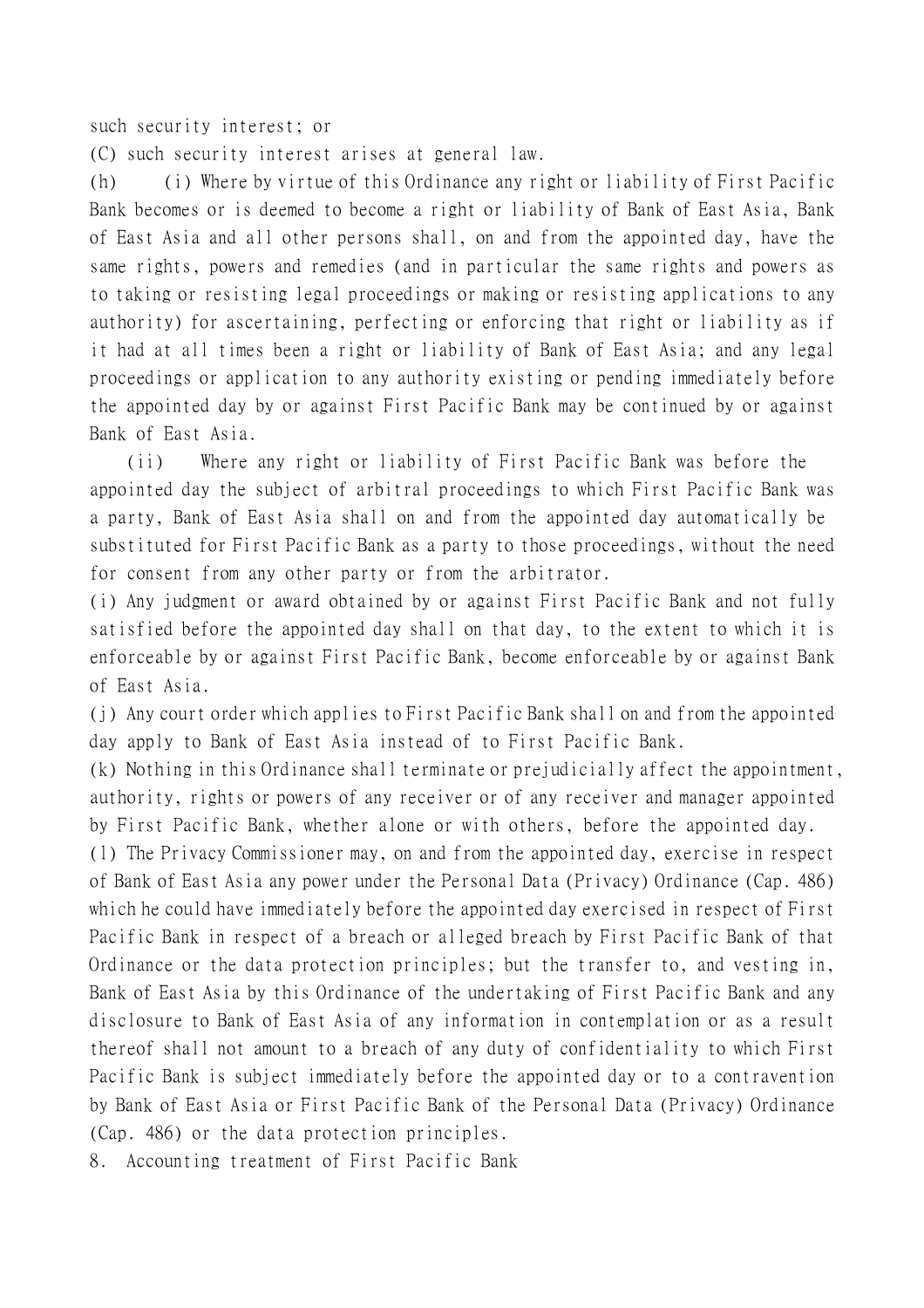such security interest; or

(C) such security interest arises at general law.

(h) (i) Where by virtue of this Ordinance any right or liability of First Pacific Bank becomes or is deemed to become a right or liability of Bank of East Asia, Bank of East Asia and all other persons shall, on and from the appointed day, have the same rights, powers and remedies (and in particular the same rights and powers as to taking or resisting legal proceedings or making or resisting applications to any authority) for ascertaining, perfecting or enforcing that right or liability as if it had at all times been a right or liability of Bank of East Asia; and any legal proceedings or application to any authority existing or pending immediately before the appointed day by or against First Pacific Bank may be continued by or against Bank of East Asia.

(ii) Where any right or liability of First Pacific Bank was before the appointed day the subject of arbitral proceedings to which First Pacific Bank was a party, Bank of East Asia shall on and from the appointed day automatically be substituted for First Pacific Bank as a party to those proceedings, without the need for consent from any other party or from the arbitrator.

(i) Any judgment or award obtained by or against First Pacific Bank and not fully satisfied before the appointed day shall on that day, to the extent to which it is enforceable by or against First Pacific Bank, become enforceable by or against Bank of East Asia.

(j) Any court order which applies to First Pacific Bank shall on and from the appointed day apply to Bank of East Asia instead of to First Pacific Bank.

(k) Nothing in this Ordinance shall terminate or prejudicially affect the appointment, authority, rights or powers of any receiver or of any receiver and manager appointed by First Pacific Bank, whether alone or with others, before the appointed day.

(l) The Privacy Commissioner may, on and from the appointed day, exercise in respect of Bank of East Asia any power under the Personal Data (Privacy) Ordinance (Cap. 486) which he could have immediately before the appointed day exercised in respect of First Pacific Bank in respect of a breach or alleged breach by First Pacific Bank of that Ordinance or the data protection principles; but the transfer to, and vesting in, Bank of East Asia by this Ordinance of the undertaking of First Pacific Bank and any disclosure to Bank of East Asia of any information in contemplation or as a result thereof shall not amount to a breach of any duty of confidentiality to which First Pacific Bank is subject immediately before the appointed day or to a contravention by Bank of East Asia or First Pacific Bank of the Personal Data (Privacy) Ordinance (Cap. 486) or the data protection principles.

8. Accounting treatment of First Pacific Bank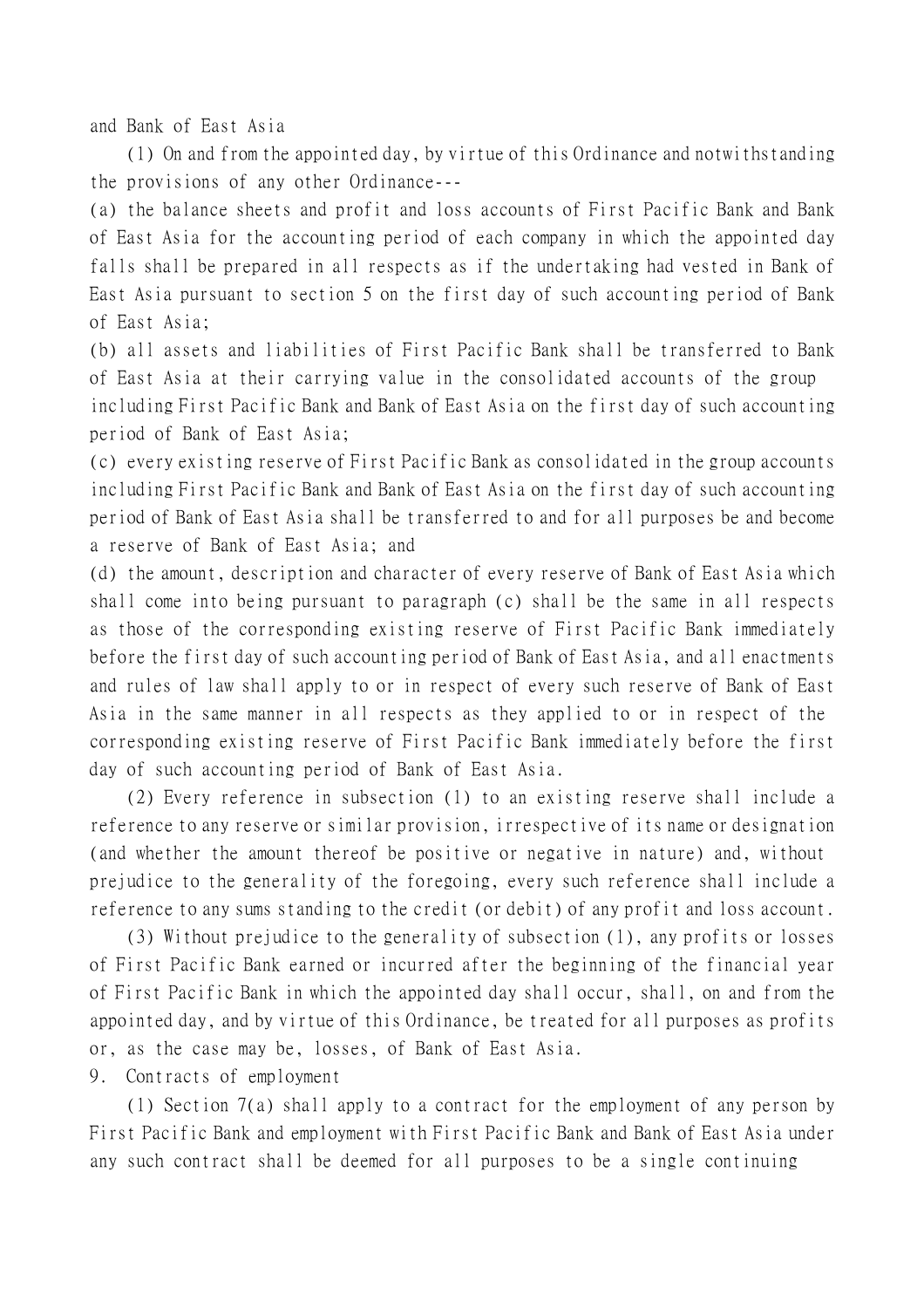and Bank of East Asia

(1) On and from the appointed day, by virtue of this Ordinance and notwithstanding the provisions of any other Ordinance---

(a) the balance sheets and profit and loss accounts of First Pacific Bank and Bank of East Asia for the accounting period of each company in which the appointed day falls shall be prepared in all respects as if the undertaking had vested in Bank of East Asia pursuant to section 5 on the first day of such accounting period of Bank of East Asia;

(b) all assets and liabilities of First Pacific Bank shall be transferred to Bank of East Asia at their carrying value in the consolidated accounts of the group including First Pacific Bank and Bank of East Asia on the first day of such accounting period of Bank of East Asia;

(c) every existing reserve of First Pacific Bank as consolidated in the group accounts including First Pacific Bank and Bank of East Asia on the first day of such accounting period of Bank of East Asia shall be transferred to and for all purposes be and become a reserve of Bank of East Asia; and

(d) the amount, description and character of every reserve of Bank of East Asia which shall come into being pursuant to paragraph (c) shall be the same in all respects as those of the corresponding existing reserve of First Pacific Bank immediately before the first day of such accounting period of Bank of East Asia, and all enactments and rules of law shall apply to or in respect of every such reserve of Bank of East Asia in the same manner in all respects as they applied to or in respect of the corresponding existing reserve of First Pacific Bank immediately before the first day of such accounting period of Bank of East Asia.

(2) Every reference in subsection (1) to an existing reserve shall include a reference to any reserve or similar provision, irrespective of its name or designation (and whether the amount thereof be positive or negative in nature) and, without prejudice to the generality of the foregoing, every such reference shall include a reference to any sums standing to the credit (or debit) of any profit and loss account.

(3) Without prejudice to the generality of subsection (1), any profits or losses of First Pacific Bank earned or incurred after the beginning of the financial year of First Pacific Bank in which the appointed day shall occur, shall, on and from the appointed day, and by virtue of this Ordinance, be treated for all purposes as profits or, as the case may be, losses, of Bank of East Asia.

9. Contracts of employment

(1) Section 7(a) shall apply to a contract for the employment of any person by First Pacific Bank and employment with First Pacific Bank and Bank of East Asia under any such contract shall be deemed for all purposes to be a single continuing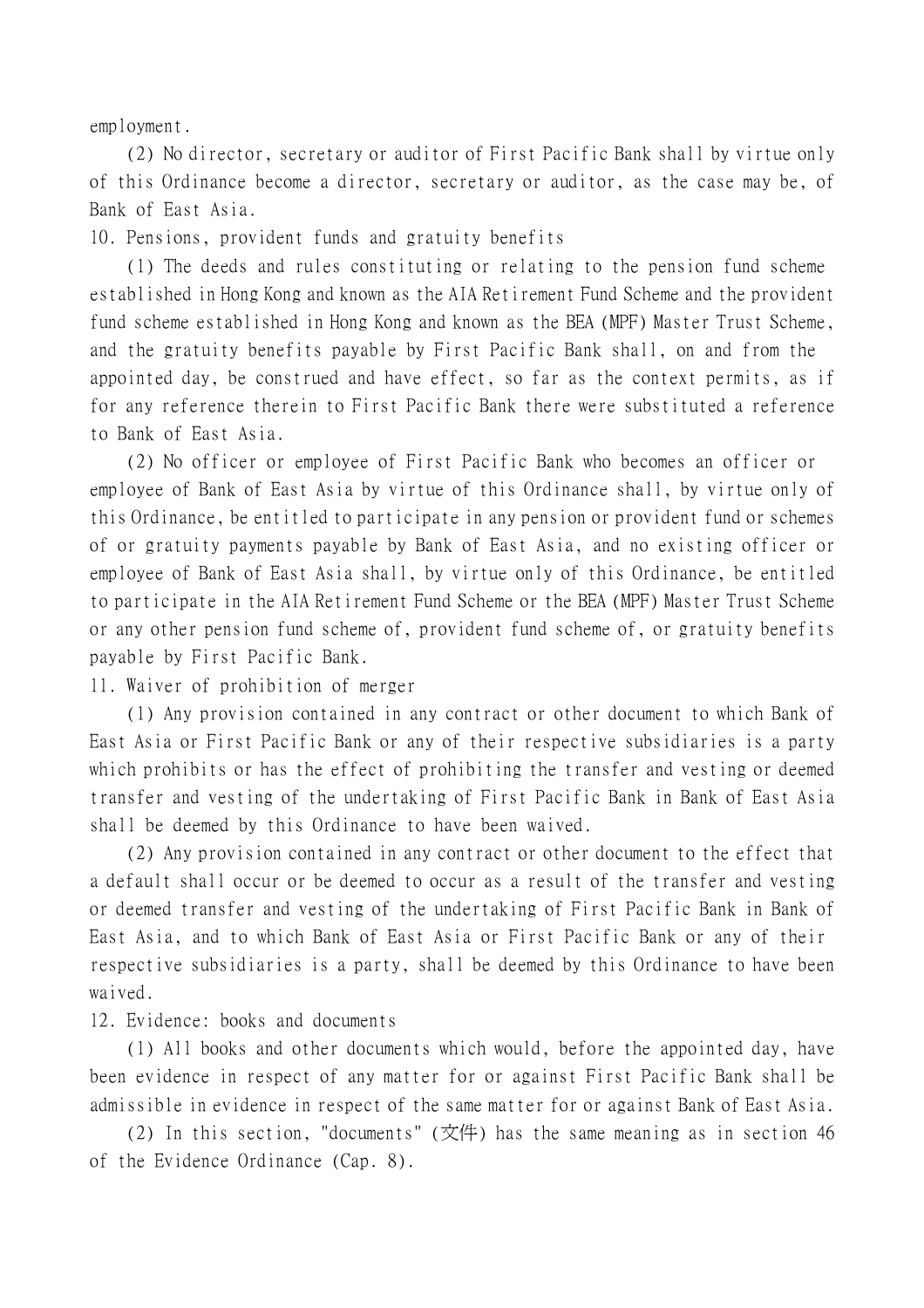employment.

(2) No director, secretary or auditor of First Pacific Bank shall by virtue only of this Ordinance become a director, secretary or auditor, as the case may be, of Bank of East Asia.

10. Pensions, provident funds and gratuity benefits

(1) The deeds and rules constituting or relating to the pension fund scheme established in Hong Kong and known as the AIA Retirement Fund Scheme and the provident fund scheme established in Hong Kong and known as the BEA (MPF) Master Trust Scheme, and the gratuity benefits payable by First Pacific Bank shall, on and from the appointed day, be construed and have effect, so far as the context permits, as if for any reference therein to First Pacific Bank there were substituted a reference to Bank of East Asia.

(2) No officer or employee of First Pacific Bank who becomes an officer or employee of Bank of East Asia by virtue of this Ordinance shall, by virtue only of this Ordinance, be entitled to participate in any pension or provident fund or schemes of or gratuity payments payable by Bank of East Asia, and no existing officer or employee of Bank of East Asia shall, by virtue only of this Ordinance, be entitled to participate in the AIA Retirement Fund Scheme or the BEA (MPF) Master Trust Scheme or any other pension fund scheme of, provident fund scheme of, or gratuity benefits payable by First Pacific Bank.

11. Waiver of prohibition of merger

(1) Any provision contained in any contract or other document to which Bank of East Asia or First Pacific Bank or any of their respective subsidiaries is a party which prohibits or has the effect of prohibiting the transfer and vesting or deemed transfer and vesting of the undertaking of First Pacific Bank in Bank of East Asia shall be deemed by this Ordinance to have been waived.

(2) Any provision contained in any contract or other document to the effect that a default shall occur or be deemed to occur as a result of the transfer and vesting or deemed transfer and vesting of the undertaking of First Pacific Bank in Bank of East Asia, and to which Bank of East Asia or First Pacific Bank or any of their respective subsidiaries is a party, shall be deemed by this Ordinance to have been waived.

12. Evidence: books and documents

(1) All books and other documents which would, before the appointed day, have been evidence in respect of any matter for or against First Pacific Bank shall be admissible in evidence in respect of the same matter for or against Bank of East Asia.

(2) In this section, "documents" (文件) has the same meaning as in section 46 of the Evidence Ordinance (Cap. 8).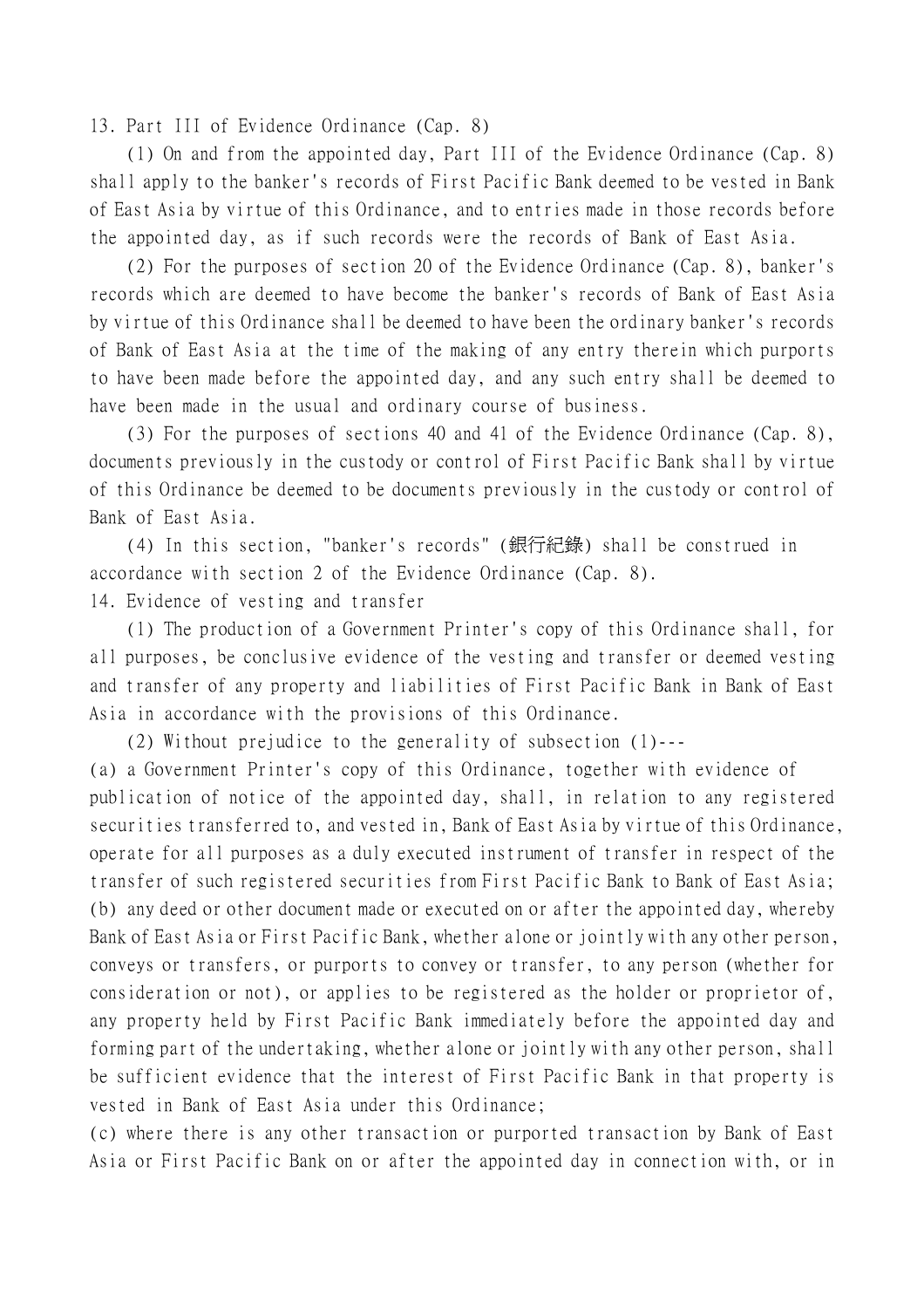13. Part III of Evidence Ordinance (Cap. 8)

(1) On and from the appointed day, Part III of the Evidence Ordinance (Cap. 8) shall apply to the banker's records of First Pacific Bank deemed to be vested in Bank of East Asia by virtue of this Ordinance, and to entries made in those records before the appointed day, as if such records were the records of Bank of East Asia.

(2) For the purposes of section 20 of the Evidence Ordinance (Cap. 8), banker's records which are deemed to have become the banker's records of Bank of East Asia by virtue of this Ordinance shall be deemed to have been the ordinary banker's records of Bank of East Asia at the time of the making of any entry therein which purports to have been made before the appointed day, and any such entry shall be deemed to have been made in the usual and ordinary course of business.

(3) For the purposes of sections 40 and 41 of the Evidence Ordinance (Cap. 8), documents previously in the custody or control of First Pacific Bank shall by virtue of this Ordinance be deemed to be documents previously in the custody or control of Bank of East Asia.

(4) In this section, "banker's records" (銀行紀錄) shall be construed in accordance with section 2 of the Evidence Ordinance (Cap. 8). 14. Evidence of vesting and transfer

(1) The production of a Government Printer's copy of this Ordinance shall, for all purposes, be conclusive evidence of the vesting and transfer or deemed vesting and transfer of any property and liabilities of First Pacific Bank in Bank of East Asia in accordance with the provisions of this Ordinance.

(2) Without prejudice to the generality of subsection (1)---

(a) a Government Printer's copy of this Ordinance, together with evidence of publication of notice of the appointed day, shall, in relation to any registered securities transferred to, and vested in, Bank of East Asia by virtue of this Ordinance, operate for all purposes as a duly executed instrument of transfer in respect of the transfer of such registered securities from First Pacific Bank to Bank of East Asia; (b) any deed or other document made or executed on or after the appointed day, whereby Bank of East Asia or First Pacific Bank, whether alone or jointly with any other person, conveys or transfers, or purports to convey or transfer, to any person (whether for consideration or not), or applies to be registered as the holder or proprietor of, any property held by First Pacific Bank immediately before the appointed day and forming part of the undertaking, whether alone or jointly with any other person, shall be sufficient evidence that the interest of First Pacific Bank in that property is vested in Bank of East Asia under this Ordinance;

(c) where there is any other transaction or purported transaction by Bank of East Asia or First Pacific Bank on or after the appointed day in connection with, or in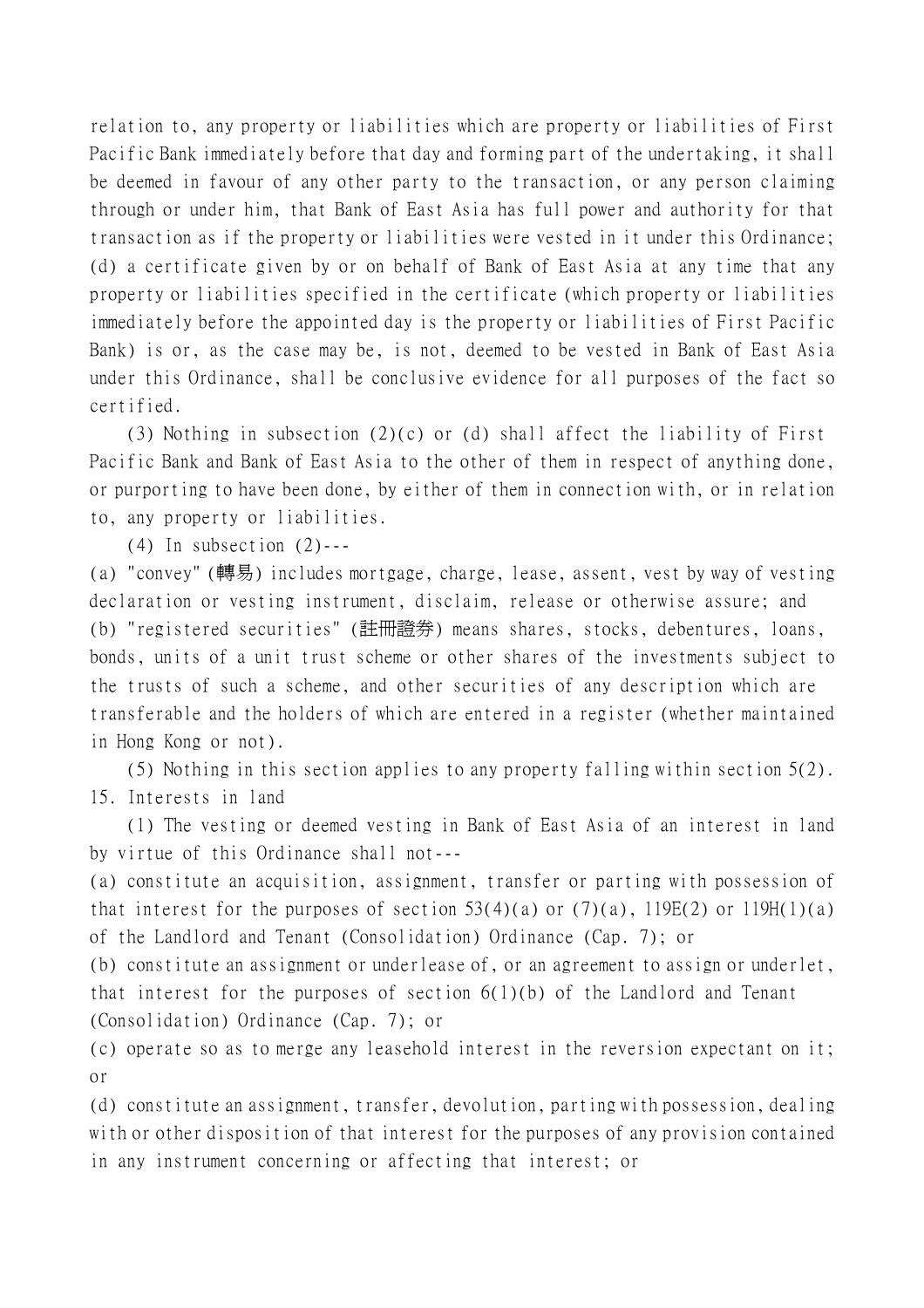relation to, any property or liabilities which are property or liabilities of First Pacific Bank immediately before that day and forming part of the undertaking, it shall be deemed in favour of any other party to the transaction, or any person claiming through or under him, that Bank of East Asia has full power and authority for that transaction as if the property or liabilities were vested in it under this Ordinance; (d) a certificate given by or on behalf of Bank of East Asia at any time that any property or liabilities specified in the certificate (which property or liabilities immediately before the appointed day is the property or liabilities of First Pacific Bank) is or, as the case may be, is not, deemed to be vested in Bank of East Asia under this Ordinance, shall be conclusive evidence for all purposes of the fact so certified.

(3) Nothing in subsection (2)(c) or (d) shall affect the liability of First Pacific Bank and Bank of East Asia to the other of them in respect of anything done, or purporting to have been done, by either of them in connection with, or in relation to, any property or liabilities.

 $(4)$  In subsection  $(2)$ ---

(a) "convey" (轉易) includes mortgage, charge, lease, assent, vest by way of vesting declaration or vesting instrument, disclaim, release or otherwise assure; and (b) "registered securities" (註冊證券) means shares, stocks, debentures, loans, bonds, units of a unit trust scheme or other shares of the investments subject to the trusts of such a scheme, and other securities of any description which are transferable and the holders of which are entered in a register (whether maintained in Hong Kong or not).

(5) Nothing in this section applies to any property falling within section 5(2). 15. Interests in land

(1) The vesting or deemed vesting in Bank of East Asia of an interest in land by virtue of this Ordinance shall not---

(a) constitute an acquisition, assignment, transfer or parting with possession of that interest for the purposes of section  $53(4)(a)$  or  $(7)(a)$ ,  $119E(2)$  or  $119H(1)(a)$ of the Landlord and Tenant (Consolidation) Ordinance (Cap. 7); or

(b) constitute an assignment or underlease of, or an agreement to assign or underlet, that interest for the purposes of section  $6(1)(b)$  of the Landlord and Tenant (Consolidation) Ordinance (Cap. 7); or

(c) operate so as to merge any leasehold interest in the reversion expectant on it; or

(d) constitute an assignment, transfer, devolution, parting with possession, dealing with or other disposition of that interest for the purposes of any provision contained in any instrument concerning or affecting that interest; or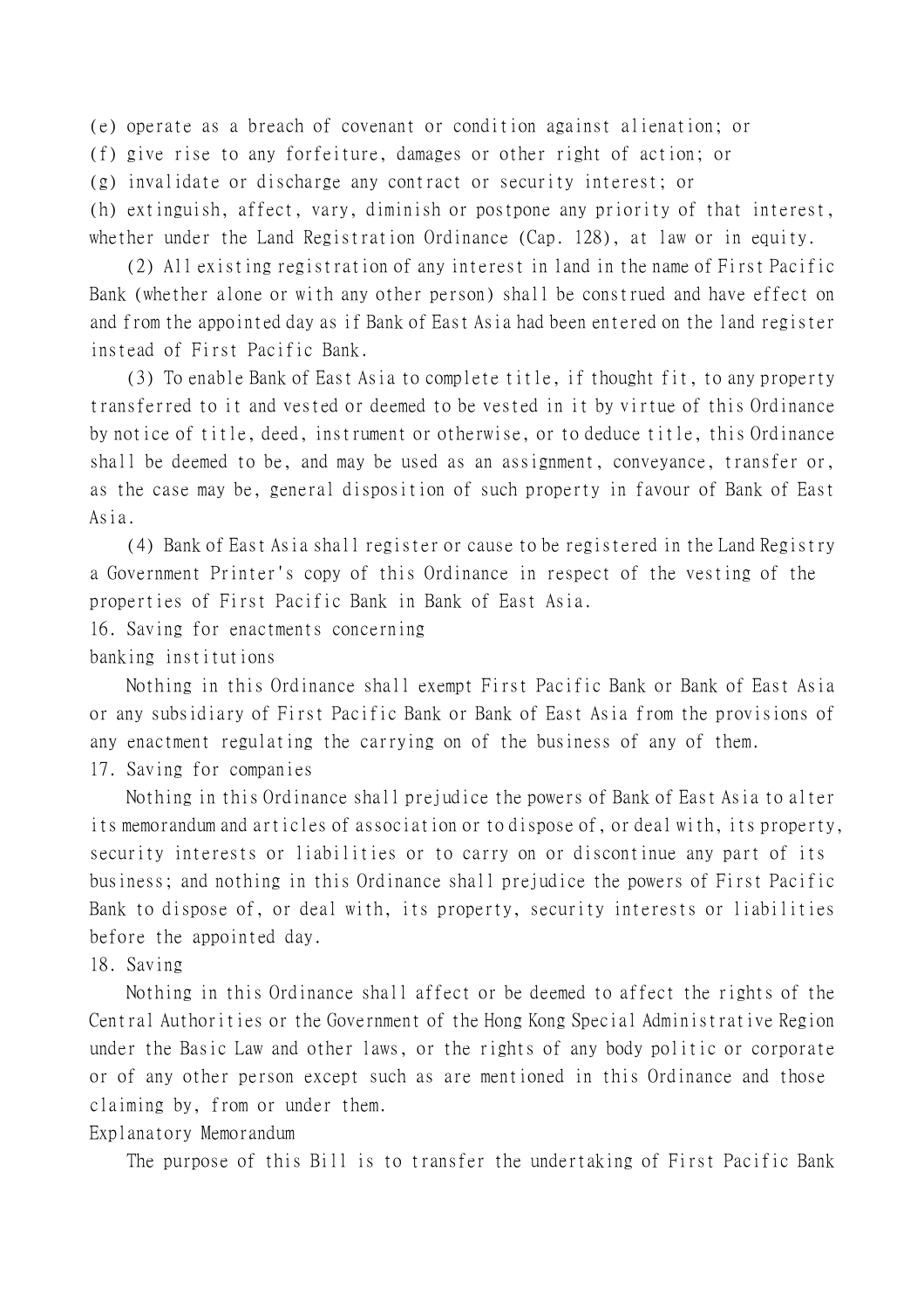(e) operate as a breach of covenant or condition against alienation; or

(f) give rise to any forfeiture, damages or other right of action; or

(g) invalidate or discharge any contract or security interest; or

(h) extinguish, affect, vary, diminish or postpone any priority of that interest, whether under the Land Registration Ordinance (Cap. 128), at law or in equity.

(2) All existing registration of any interest in land in the name of First Pacific Bank (whether alone or with any other person) shall be construed and have effect on and from the appointed day as if Bank of East Asia had been entered on the land register instead of First Pacific Bank.

(3) To enable Bank of East Asia to complete title, if thought fit, to any property transferred to it and vested or deemed to be vested in it by virtue of this Ordinance by notice of title, deed, instrument or otherwise, or to deduce title, this Ordinance shall be deemed to be, and may be used as an assignment, conveyance, transfer or, as the case may be, general disposition of such property in favour of Bank of East Asia.

(4) Bank of East Asia shall register or cause to be registered in the Land Registry a Government Printer's copy of this Ordinance in respect of the vesting of the properties of First Pacific Bank in Bank of East Asia.

16. Saving for enactments concerning

banking institutions

Nothing in this Ordinance shall exempt First Pacific Bank or Bank of East Asia or any subsidiary of First Pacific Bank or Bank of East Asia from the provisions of any enactment regulating the carrying on of the business of any of them.

17. Saving for companies

Nothing in this Ordinance shall prejudice the powers of Bank of East Asia to alter its memorandum and articles of association or to dispose of, or deal with, its property, security interests or liabilities or to carry on or discontinue any part of its business; and nothing in this Ordinance shall prejudice the powers of First Pacific Bank to dispose of, or deal with, its property, security interests or liabilities before the appointed day.

## 18. Saving

Nothing in this Ordinance shall affect or be deemed to affect the rights of the Central Authorities or the Government of the Hong Kong Special Administrative Region under the Basic Law and other laws, or the rights of any body politic or corporate or of any other person except such as are mentioned in this Ordinance and those claiming by, from or under them.

## Explanatory Memorandum

The purpose of this Bill is to transfer the undertaking of First Pacific Bank